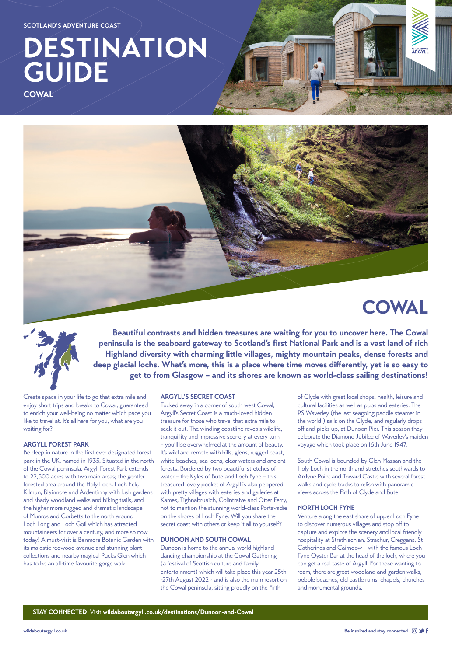# **DESTINATION GUIDE**

**COWAL**







#### **STAY CONNECTED** Visit **[wildaboutargyll.co.uk/destinations/Dunoon-and-Cowal](http://wildaboutargyll.co.uk/destinations/Dunoon-and-Cowal)**

[wildaboutargyll.co.uk](https://www.wildaboutargyll.co.uk) **Be inspired and stay connected**  $\textcircled{\circ}\blacktriangleright\textsf{f}$ 

**Beautiful contrasts and hidden treasures are waiting for you to uncover here. The Cowal peninsula is the seaboard gateway to Scotland's first National Park and is a vast land of rich Highland diversity with charming little villages, mighty mountain peaks, dense forests and deep glacial lochs. What's more, this is a place where time moves differently, yet is so easy to get to from Glasgow – and its shores are known as world-class sailing destinations!**

Create space in your life to go that extra mile and enjoy short trips and breaks to Cowal, guaranteed to enrich your well-being no matter which pace you like to travel at. It's all here for you, what are you waiting for?

# **ARGYLL FOREST PARK**

Be deep in nature in the first ever designated forest park in the UK, named in 1935. Situated in the north of the Cowal peninsula, Argyll Forest Park extends to 22,500 acres with two main areas; the gentler forested area around the Holy Loch, Loch Eck, Kilmun, Blairmore and Ardentinny with lush gardens and shady woodland walks and biking trails, and the higher more rugged and dramatic landscape of Munros and Corbetts to the north around Loch Long and Loch Goil which has attracted mountaineers for over a century, and more so now today! A must-visit is Benmore Botanic Garden with its majestic redwood avenue and stunning plant collections and nearby magical Pucks Glen which has to be an all-time favourite gorge walk.

## **ARGYLL'S SECRET COAST**

Tucked away in a corner of south west Cowal, Argyll's Secret Coast is a much-loved hidden treasure for those who travel that extra mile to seek it out. The winding coastline reveals wildlife, tranquillity and impressive scenery at every turn – you'll be overwhelmed at the amount of beauty. It's wild and remote with hills, glens, rugged coast, white beaches, sea lochs, clear waters and ancient forests. Bordered by two beautiful stretches of water – the Kyles of Bute and Loch Fyne – this treasured lovely pocket of Argyll is also peppered with pretty villages with eateries and galleries at Kames, Tighnabruaich, Colintraive and Otter Ferry, not to mention the stunning world-class Portavadie on the shores of Loch Fyne. Will you share the secret coast with others or keep it all to yourself?

#### **DUNOON AND SOUTH COWAL**

Dunoon is home to the annual world highland dancing championship at the Cowal Gathering (a festival of Scottish culture and family entertainment) which will take place this year 25th -27th August 2022 - and is also the main resort on the Cowal peninsula, sitting proudly on the Firth

of Clyde with great local shops, health, leisure and cultural facilities as well as pubs and eateries. The PS Waverley (the last seagoing paddle steamer in the world!) sails on the Clyde, and regularly drops off and picks up, at Dunoon Pier. This season they celebrate the Diamond Jubilee of Waverley's maiden voyage which took place on 16th June 1947.

South Cowal is bounded by Glen Massan and the Holy Loch in the north and stretches southwards to Ardyne Point and Toward Castle with several forest walks and cycle tracks to relish with panoramic views across the Firth of Clyde and Bute.

## **NORTH LOCH FYNE**

Venture along the east shore of upper Loch Fyne to discover numerous villages and stop off to capture and explore the scenery and local friendly hospitality at Strathlachlan, Strachur, Creggans, St Catherines and Cairndow – with the famous Loch Fyne Oyster Bar at the head of the loch, where you can get a real taste of Argyll. For those wanting to roam, there are great woodland and garden walks, pebble beaches, old castle ruins, chapels, churches and monumental grounds.

**SCOTLAND'S ADVENTURE COAST**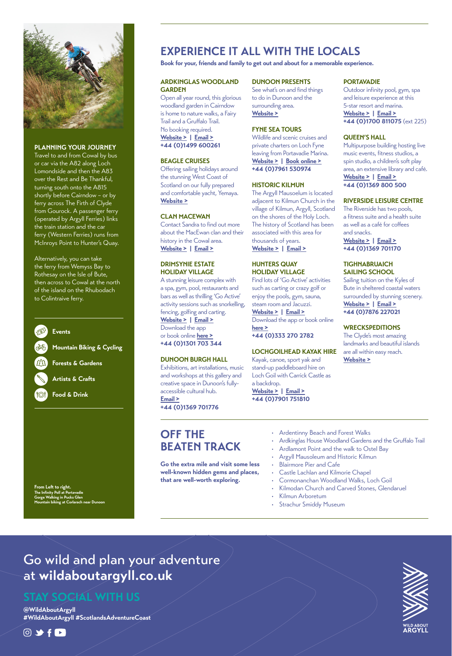# Go wild and plan your adventure at **wildaboutargyll.co.uk**

**@WildAboutArgyll #WildAboutArgyll #ScotlandsAdventureCoast**

# $0$  y f  $\blacksquare$



# **STAY SOCIAL WITH US**

# **OFF THE BEATEN TRACK**

**Go the extra mile and visit some less well-known hidden gems and places, that are well-worth exploring.**

- Kilmun Arboretum
- **Strachur Smiddy Museum**
- Ardentinny Beach and Forest Walks
- Ardkinglas House Woodland Gardens and the Gruffalo Trail
- Ardlamont Point and the walk to Ostel Bay
- Argyll Mausoleum and Historic Kilmun
- Blairmore Pier and Cafe
- Castle Lachlan and Kilmorie Chapel
- Cormonanchan Woodland Walks, Loch Goil
- Kilmodan Church and Carved Stones, Glendaruel

**From Left to right. The Infinity Poll at Port** 



# **PLANNING YOUR JOURNEY**

Travel to and from Cowal by bus or car via the A82 along Loch Lomondside and then the A83 over the Rest and Be Thankful, turning south onto the A815 shortly before Cairndow – or by ferry across The Firth of Clyde from Gourock. A passenger ferry (operated by Argyll Ferries) links the train station and the car ferry (Western Ferries) runs from McInroys Point to Hunter's Quay.

Alternatively, you can take the ferry from Wemyss Bay to Rothesay on the Isle of Bute, then across to Cowal at the north of the island on the Rhubodach to Colintraive ferry.

**Gorge Walking in Pucks Glen Mountain biking at Corlarach near Dunoon**



**Forests & Gardens**

# **Artists & Crafts**

**Food & Drink**

# **ARDKINGLAS WOODLAND GARDEN**

Open all year round, this glorious woodland garden in Cairndow is home to nature walks, a Fairy Trail and a Gruffalo Trail. No booking required. **[Website >](https://www.ardkinglas.com/ardkinglas-woodland-gardens.html) | [Email >](http://info@ardkinglas.com) +44 (0)1499 600261**

# **BEAGLE CRUISES**

Offering sailing holidays around the stunning West Coast of Scotland on our fully prepared and comfortable yacht, Yemaya. **[Website >](https://www.beaglecruises.com)**

# **CLAN MACEWAN**

Contact Sandra to find out more about the MacEwan clan and their history in the Cowal area. **[Website >](https://www.clanmacewen.com/) | [Email >](mailto:info%40clanmacewen.com?subject=)**

# **DRIMSYNIE ESTATE HOLIDAY VILLAGE**

A stunning leisure complex with a spa, gym, pool, restaurants and bars as well as thrilling 'Go Active' activity sessions such as snorkelling, fencing, golfing and carting. **[Website >](https://argyllholidays.com/parks/drimsynie-estate-holiday-village/activities) | [Email >](mailto:info%40argyllholidays.com?subject=)** Download the app or book online **[here >](https://argyllholidaysapp.com/)**

**+44 (0)1301 703 344**

# **DUNOON BURGH HALL**

Exhibitions, art installations, music and workshops at this gallery and creative space in Dunoon's fullyaccessible cultural hub. **[Email >](mailto:info%40dunoonburghhall.org.uk?subject=) +44 (0)1369 701776**

# **DUNOON PRESENTS**

See what's on and find things to do in Dunoon and the surrounding area. **[Website >](https://www.dunoonpresents.co.uk/things-to-do/)**

# **FYNE SEA TOURS**

Wildlife and scenic cruises and private charters on Loch Fyne leaving from Portavadie Marina. **[Website >](https://www.fyneseatours.com) | [Book online >](https://www.fyneseatours.com/) +44 (0)7961 530974**

## **HISTORIC KILMUN**

The Argyll Mausoelum is located adjacent to Kilmun Church in the village of Kilmun, Argyll, Scotland on the shores of the Holy Loch. The history of Scotland has been associated with this area for thousands of years. **[Website >](http://www.historickilmun.org) | [Email >](mailto:%20info%40historickilmun.org?subject=)**

# **HUNTERS QUAY HOLIDAY VILLAGE**

Find lots of 'Go Active' activities such as carting or crazy golf or enjoy the pools, gym, sauna, steam room and Jacuzzi. **[Website >](https://argyllholidays.com/parks/hunters-quay-holiday-village#park-nav) | [Email >](mailto:info%40argyllholidays.com?subject=)** Download the app or book online

**[here >](https://argyllholidaysapp.com/) +44 (0)333 270 2782**

## **LOCHGOILHEAD KAYAK HIRE**

Kayak, canoe, sport yak and stand-up paddleboard hire on Loch Goil with Carrick Castle as a backdrop.

**[Website >](https://www.lochgoilheadkayakhire.com/) | [Email >](mailto:kayakhire%40carrickfarm.com?subject=) +44 (0)7901 751810**

# **PORTAVADIE**

Outdoor infinity pool, gym, spa and leisure experience at this 5-star resort and marina. **[Website >](https://portavadie.com/spa-and-leisure/) | [Email >](mailto:spaandleisure%40portavadie.com?subject=) +44 (0)1700 811075** (ext 225)

# **QUEEN'S HALL**

Multipurpose building hosting live music events, fitness studios, a spin studio, a children's soft play area, an extensive library and café. **[Website >](https://liveargyll.co.uk/facility/queens-hall/) | [Email >](mailto:queenshall%40liveargyll.co.uk?subject=) +44 (0)1369 800 500**

# **RIVERSIDE LEISURE CENTRE**

The Riverside has two pools, a fitness suite and a health suite as well as a café for coffees and snacks.

**[Website >](https://liveargyll.co.uk/facility/riverside-leisure-centre/) | [Email >](mailto:riverside%40liveargyll.co.uk?subject=) +44 (0)1369 701170**

# **TIGHNABRUAICH SAILING SCHOOL**

Sailing tuition on the Kyles of Bute in sheltered coastal waters surrounded by stunning scenery. **[Website >](https://www.tssargyll.co.uk/) | [Email >](mailto:enquiries%40tssargyll.co.uk?subject=) +44 (0)7876 227021**

## **WRECKSPEDITIONS**

The Clyde's most amazing landmarks and beautiful islands are all within easy reach. **[Website >](https://www.wreckspeditions.com/)**

# **EXPERIENCE IT ALL WITH THE LOCALS**

**Book for your, friends and family to get out and about for a memorable experience.**